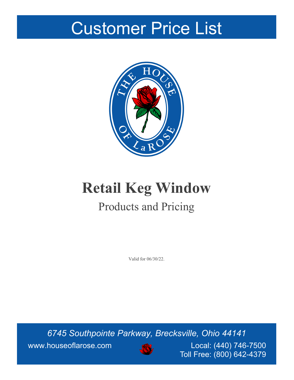# Customer Price List



# **Retail Keg Window** Products and Pricing

Valid for 06/30/22.

*6745 Southpointe Parkway, Brecksville, Ohio 44141* www.houseoflarose.com **NOCON** Local: (440) 746-7500



Toll Free: (800) 642-4379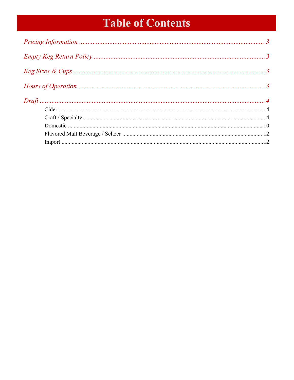## **Table of Contents**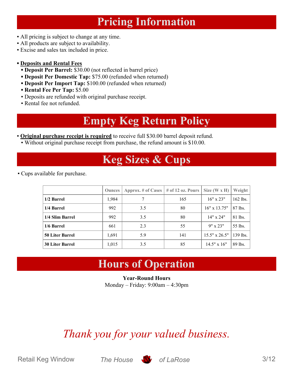### **Pricing Information**

- <span id="page-2-0"></span>▪ All pricing is subject to change at any time.
- All products are subject to availability.
- Excise and sales tax included in price.
- **▪ Deposits and Rental Fees**
	- **▪ Deposit Per Barrel:** \$30.00 (not reflected in barrel price)
	- **▪ Deposit Per Domestic Tap:** \$75.00 (refunded when returned)
	- **▪ Deposit Per Import Tap:** \$100.00 (refunded when returned)
	- **▪ Rental Fee Per Tap:** \$5.00
	- Deposits are refunded with original purchase receipt.
	- Rental fee not refunded.

### **Empty Keg Return Policy**

<span id="page-2-1"></span>▪ **Original purchase receipt is required** to receive full \$30.00 barrel deposit refund.

<span id="page-2-2"></span>▪ Without original purchase receipt from purchase, the refund amount is \$10.00.

### **Keg Sizes & Cups**

▪ Cups available for purchase.

<span id="page-2-3"></span>

|                        | <b>Ounces</b> | Approx. # of Cases $\vert$ # of 12 oz. Pours |     | Size (W x H) $\vert$ | <b>Weight</b> |
|------------------------|---------------|----------------------------------------------|-----|----------------------|---------------|
| 1/2 Barrel             | 1,984         | 7                                            | 165 | $16"$ x 23"          | 162 lbs.      |
| 1/4 Barrel             | 992           | 3.5                                          | 80  | $16"$ x $13.75"$     | 87 lbs.       |
| 1/4 Slim Barrel        | 992           | 3.5                                          | 80  | $14" \times 24"$     | 81 lbs.       |
| 1/6 Barrel             | 661           | 2.3                                          | 55  | $9'' \times 23''$    | 55 lbs.       |
| <b>50 Liter Barrel</b> | 1,691         | 5.9                                          | 141 | $15.5" \times 26.5"$ | 139 lbs.      |
| <b>30 Liter Barrel</b> | 1,015         | 3.5                                          | 85  | $14.5" \times 16"$   | 89 lbs.       |

### **Hours of Operation**

**Year-Round Hours** Monday – Friday: 9:00am – 4:30pm

## *Thank you for your valued business.*

Retail Keg Window *The House* **S** of LaRose 3/12

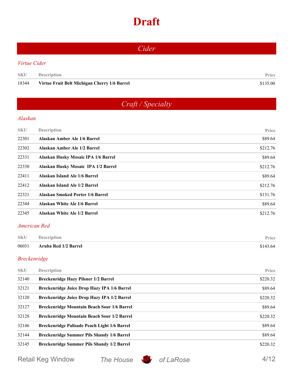### **Draft**

<span id="page-3-2"></span><span id="page-3-1"></span><span id="page-3-0"></span>

| Cider               |                                              |          |  |
|---------------------|----------------------------------------------|----------|--|
| Virtue Cider        |                                              |          |  |
| <b>SKU</b>          | Description                                  | Price    |  |
| 18344               | Virtue Fruit Belt Michigan Cherry 1/6 Barrel | \$135.00 |  |
|                     |                                              |          |  |
|                     | Craft / Specialty                            |          |  |
| <b>Alaskan</b>      |                                              |          |  |
| <b>SKU</b>          | <b>Description</b>                           | Price    |  |
| 22301               | Alaskan Amber Ale 1/6 Barrel                 | \$89.64  |  |
| 22302               | Alaskan Amber Ale 1/2 Barrel                 | \$212.76 |  |
| 22331               | Alaskan Husky Mosaic IPA 1/6 Barrel          | \$89.64  |  |
| 22330               | Alaskan Husky Mosaic IPA 1/2 Barrel          | \$212.76 |  |
| 22411               | Alaskan Island Ale 1/6 Barrel                | \$89.64  |  |
| 22412               | Alaskan Island Ale 1/2 Barrel                | \$212.76 |  |
| 22321               | <b>Alaskan Smoked Porter 1/6 Barrel</b>      | \$131.76 |  |
| 22344               | Alaskan White Ale 1/6 Barrel                 | \$89.64  |  |
| 22345               | Alaskan White Ale 1/2 Barrel                 | \$212.76 |  |
| <b>American Red</b> |                                              |          |  |
| <b>SKU</b>          | <b>Description</b>                           | Price    |  |
| 06031               | Aruba Red 1/2 Barrel                         | \$143.64 |  |
| <b>Breckenridge</b> |                                              |          |  |
| <b>SKU</b>          | <b>Description</b>                           | Price    |  |
| 32140               | Breckenridge Hazy Pilsner 1/2 Barrel         | \$220.32 |  |
| 32121               | Breckenridge Juice Drop Hazy IPA 1/6 Barrel  | \$89.64  |  |
| 32120               | Breckenridge Juice Drop Hazy IPA 1/2 Barrel  | \$220.32 |  |

| 32127 | Breckenridge Mountain Beach Sour 1/6 Barrel       | \$89.64  |
|-------|---------------------------------------------------|----------|
| 32128 | Breckenridge Mountain Beach Sour 1/2 Barrel       | \$220.32 |
| 32146 | Breckenridge Palisade Peach Light 1/6 Barrel      | \$89.64  |
| 32144 | <b>Breckenridge Summer Pils Shandy 1/6 Barrel</b> | \$89.64  |
| 32145 | Breckenridge Summer Pils Shandy 1/2 Barrel        | \$220.32 |

Retail Keg Window *The House* **S** of LaRose 4/12



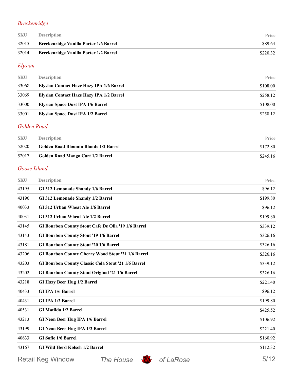#### *Breckenridge*

| <b>SKU</b> | <b>Description</b>                            | <b>Price</b> |
|------------|-----------------------------------------------|--------------|
| 32015      | <b>Breckenridge Vanilla Porter 1/6 Barrel</b> | \$89.64      |
| 32014      | Breckenridge Vanilla Porter 1/2 Barrel        | \$220.32     |

#### *Elysian*

| <b>SKU</b> | <b>Description</b>                       | Price    |
|------------|------------------------------------------|----------|
| 33068      | Elysian Contact Haze Hazy IPA 1/6 Barrel | \$108.00 |
| 33069      | Elysian Contact Haze Hazy IPA 1/2 Barrel | \$258.12 |
| 33000      | <b>Elysian Space Dust IPA 1/6 Barrel</b> | \$108.00 |
| 33001      | <b>Elysian Space Dust IPA 1/2 Barrel</b> | \$258.12 |

#### *Golden Road*

| <b>SKU</b> | <b>Description</b>                    | <b>Price</b> |
|------------|---------------------------------------|--------------|
| 52020      | Golden Road Bloomin Blonde 1/2 Barrel | \$172.80     |
| 52017      | Golden Road Mango Cart 1/2 Barrel     | \$245.16     |

#### *Goose Island*

| <b>SKU</b> | <b>Description</b>                                     |                                                           | Price    |
|------------|--------------------------------------------------------|-----------------------------------------------------------|----------|
| 43195      | GI 312 Lemonade Shandy 1/6 Barrel                      |                                                           | \$96.12  |
| 43196      | GI 312 Lemonade Shandy 1/2 Barrel                      |                                                           | \$199.80 |
| 40033      | GI 312 Urban Wheat Ale 1/6 Barrel                      |                                                           | \$96.12  |
| 40031      | GI 312 Urban Wheat Ale 1/2 Barrel                      |                                                           | \$199.80 |
| 43145      |                                                        | GI Bourbon County Stout Cafe De Olla '19 1/6 Barrel       | \$339.12 |
| 43143      | <b>GI Bourbon County Stout '19 1/6 Barrel</b>          |                                                           | \$326.16 |
| 43181      | <b>GI Bourbon County Stout '20 1/6 Barrel</b>          |                                                           | \$326.16 |
| 43206      |                                                        | <b>GI Bourbon County Cherry Wood Stout '21 1/6 Barrel</b> | \$326.16 |
| 43203      |                                                        | GI Bourbon County Classic Cola Stout '21 1/6 Barrel       | \$339.12 |
| 43202      | <b>GI Bourbon County Stout Original '21 1/6 Barrel</b> |                                                           | \$326.16 |
| 43218      | <b>GI Hazy Beer Hug 1/2 Barrel</b>                     |                                                           | \$221.40 |
| 40433      | GI IPA 1/6 Barrel                                      |                                                           | \$96.12  |
| 40431      | <b>GI IPA 1/2 Barrel</b>                               |                                                           | \$199.80 |
| 40531      | GI Matilda 1/2 Barrel                                  |                                                           | \$425.52 |
| 43213      | <b>GI Neon Beer Hug IPA 1/6 Barrel</b>                 |                                                           | \$106.92 |
| 43199      | <b>GI Neon Beer Hug IPA 1/2 Barrel</b>                 |                                                           | \$221.40 |
| 40633      | <b>GI Sofie 1/6 Barrel</b>                             |                                                           | \$160.92 |
| 43167      | <b>GI Wild Herd Kolsch 1/2 Barrel</b>                  |                                                           | \$112.32 |
|            | <b>Retail Keg Window</b>                               | The House<br>of LaRose                                    | 5/12     |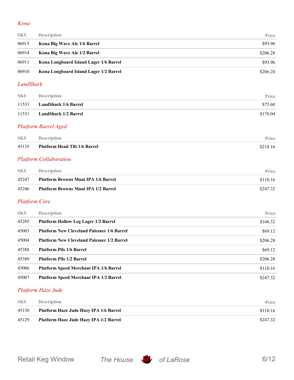#### *Kona*

| <b>SKU</b> | <b>Description</b>                     | Price    |
|------------|----------------------------------------|----------|
| 06915      | Kona Big Wave Ale 1/6 Barrel           | \$93.96  |
| 06914      | Kona Big Wave Ale 1/2 Barrel           | \$206.28 |
| 06911      | Kona Longboard Island Lager 1/6 Barrel | \$93.96  |
| 06910      | Kona Longboard Island Lager 1/2 Barrel | \$206.28 |

#### *LandShark*

| <b>SKU</b> | <b>Description</b>          | Price    |
|------------|-----------------------------|----------|
| 11533      | <b>LandShark 1/6 Barrel</b> | \$75.60  |
| 11531      | <b>LandShark 1/2 Barrel</b> | \$176.04 |

#### *Platform Barrel Aged*

| SKU | <b>Description</b>                  | Price    |
|-----|-------------------------------------|----------|
|     | 45135 Platform Head Tilt 1/6 Barrel | \$218.16 |

#### *Platform Collaboration*

| <b>SKU</b> | <b>Description</b>                         | <b>Price</b> |
|------------|--------------------------------------------|--------------|
| 45247      | <b>Platform Browns Muni IPA 1/6 Barrel</b> | \$110.16     |
| 45246      | <b>Platform Browns Muni IPA 1/2 Barrel</b> | \$247.32     |

#### *Platform Core*

| <b>SKU</b> | <b>Description</b>                                | Price    |
|------------|---------------------------------------------------|----------|
| 45285      | <b>Platform Hollow Leg Lager 1/2 Barrel</b>       | \$166.32 |
| 45003      | <b>Platform New Cleveland Palesner 1/6 Barrel</b> | \$69.12  |
| 45004      | <b>Platform New Cleveland Palesner 1/2 Barrel</b> | \$206.28 |
| 45388      | <b>Platform Pils 1/6 Barrel</b>                   | \$69.12  |
| 45389      | <b>Platform Pils 1/2 Barrel</b>                   | \$206.28 |
| 45006      | <b>Platform Speed Merchant IPA 1/6 Barrel</b>     | \$110.16 |
| 45007      | <b>Platform Speed Merchant IPA 1/2 Barrel</b>     | \$247.32 |

#### *Platform Haze Jude*

| <b>SKU</b> | <b>Description</b>                     | Price    |
|------------|----------------------------------------|----------|
| 45130      | Platform Haze Jude Hazy IPA 1/6 Barrel | \$110.16 |
| 45129      | Platform Haze Jude Hazy IPA 1/2 Barrel | \$247.32 |

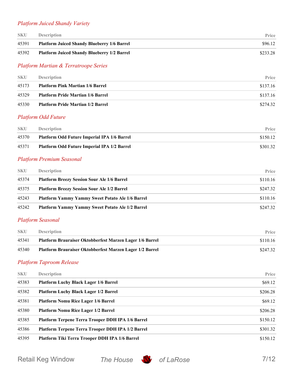#### *Platform Juiced Shandy Variety*

| <b>SKU</b> | <b>Description</b>                                 | <b>Price</b> |
|------------|----------------------------------------------------|--------------|
| 45391      | <b>Platform Juiced Shandy Blueberry 1/6 Barrel</b> | \$96.12      |
| 45392      | <b>Platform Juiced Shandy Blueberry 1/2 Barrel</b> | \$233.28     |

#### *Platform Martian & Terratroope Series*

| <b>SKU</b> | <b>Description</b>                       | Price    |
|------------|------------------------------------------|----------|
| 45173      | <b>Platform Pink Martian 1/6 Barrel</b>  | \$137.16 |
| 45329      | <b>Platform Pride Martian 1/6 Barrel</b> | \$137.16 |
| 45330      | <b>Platform Pride Martian 1/2 Barrel</b> | \$274.32 |

#### *Platform Odd Future*

| <b>SKU</b> | <b>Description</b>                                 | <b>Price</b> |
|------------|----------------------------------------------------|--------------|
| 45370      | Platform Odd Future Imperial IPA 1/6 Barrel        | \$150.12     |
| 45371      | <b>Platform Odd Future Imperial IPA 1/2 Barrel</b> | \$301.32     |

#### *Platform Premium Seasonal*

| <b>SKU</b> | <b>Description</b>                                      | <b>Price</b> |
|------------|---------------------------------------------------------|--------------|
| 45374      | <b>Platform Breezy Session Sour Ale 1/6 Barrel</b>      | \$110.16     |
| 45375      | <b>Platform Breezy Session Sour Ale 1/2 Barrel</b>      | \$247.32     |
| 45243      | <b>Platform Yammy Yammy Sweet Potato Ale 1/6 Barrel</b> | \$110.16     |
| 45242      | <b>Platform Yammy Yammy Sweet Potato Ale 1/2 Barrel</b> | \$247.32     |

#### *Platform Seasonal*

| <b>SKU</b> | <b>Description</b>                                              | <b>Price</b> |
|------------|-----------------------------------------------------------------|--------------|
| 45341      | <b>Platform Brauraiser Oktobberfest Marzen Lager 1/6 Barrel</b> | \$110.16     |
| 45340      | Platform Brauraiser Oktobberfest Marzen Lager 1/2 Barrel        | \$247.32     |

#### *Platform Taproom Release*

| <b>SKU</b> | <b>Description</b>                                | Price    |
|------------|---------------------------------------------------|----------|
| 45383      | <b>Platform Luchy Black Lager 1/6 Barrel</b>      | \$69.12  |
| 45382      | <b>Platform Luchy Black Lager 1/2 Barrel</b>      | \$206.28 |
| 45381      | <b>Platform Nomu Rice Lager 1/6 Barrel</b>        | \$69.12  |
| 45380      | <b>Platform Nomu Rice Lager 1/2 Barrel</b>        | \$206.28 |
| 45385      | Platform Terpene Terra Trooper DDH IPA 1/6 Barrel | \$150.12 |
| 45386      | Platform Terpene Terra Trooper DDH IPA 1/2 Barrel | \$301.32 |
| 45395      | Platform Tiki Terra Trooper DDH IPA 1/6 Barrel    | \$150.12 |

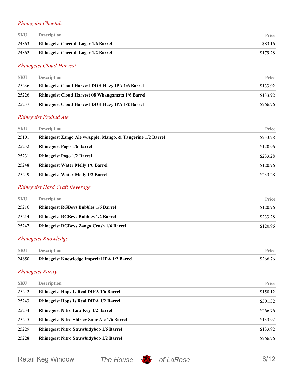#### *Rhinegeist Cheetah*

| <b>SKU</b> | <b>Description</b>                         | Price    |
|------------|--------------------------------------------|----------|
| 24863      | <b>Rhinegeist Cheetah Lager 1/6 Barrel</b> | \$83.16  |
| 24862      | <b>Rhinegeist Cheetah Lager 1/2 Barrel</b> | \$179.28 |

#### *Rhinegeist Cloud Harvest*

| <b>SKU</b> | <b>Description</b>                                       | <b>Price</b> |
|------------|----------------------------------------------------------|--------------|
| 25236      | <b>Rhinegeist Cloud Harvest DDH Hazy IPA 1/6 Barrel</b>  | \$133.92     |
| 25226      | <b>Rhinegeist Cloud Harvest 08 Whangamata 1/6 Barrel</b> | \$133.92     |
| 25237      | <b>Rhinegeist Cloud Harvest DDH Hazy IPA 1/2 Barrel</b>  | \$266.76     |

#### *Rhinegeist Fruited Ale*

| <b>SKU</b> | <b>Description</b>                                          | Price    |
|------------|-------------------------------------------------------------|----------|
| 25101      | Rhinegeist Zango Ale w/Apple, Mango, & Tangerine 1/2 Barrel | \$233.28 |
| 25232      | <b>Rhinegeist Pogo 1/6 Barrel</b>                           | \$120.96 |
| 25231      | <b>Rhinegeist Pogo 1/2 Barrel</b>                           | \$233.28 |
| 25248      | <b>Rhinegeist Water Melly 1/6 Barrel</b>                    | \$120.96 |
| 25249      | <b>Rhinegeist Water Melly 1/2 Barrel</b>                    | \$233.28 |

#### *Rhinegeist Hard Craft Beverage*

| <b>SKU</b> | <b>Description</b>                              | Price    |
|------------|-------------------------------------------------|----------|
| 25216      | <b>Rhinegeist RGBevs Bubbles 1/6 Barrel</b>     | \$120.96 |
| 25214      | <b>Rhinegeist RGBevs Bubbles 1/2 Barrel</b>     | \$233.28 |
| 25247      | <b>Rhinegeist RGBevs Zango Crush 1/6 Barrel</b> | \$120.96 |

#### *Rhinegeist Knowledge*

| <b>SKU</b> | <b>Description</b>                                  | Price    |
|------------|-----------------------------------------------------|----------|
| 24650      | <b>Rhinegeist Knowledge Imperial IPA 1/2 Barrel</b> | \$266.76 |

#### *Rhinegeist Rarity*

| <b>SKU</b> | <b>Description</b>                                  | Price    |
|------------|-----------------------------------------------------|----------|
| 25242      | <b>Rhinegeist Hops Is Real DIPA 1/6 Barrel</b>      | \$150.12 |
| 25243      | <b>Rhinegeist Hops Is Real DIPA 1/2 Barrel</b>      | \$301.32 |
| 25234      | <b>Rhinegeist Nitro Low Key 1/2 Barrel</b>          | \$266.76 |
| 25245      | <b>Rhinegeist Nitro Shirley Sour Ale 1/6 Barrel</b> | \$133.92 |
| 25229      | Rhinegeist Nitro Strawbidyboo 1/6 Barrel            | \$133.92 |
| 25228      | <b>Rhinegeist Nitro Strawbidyboo 1/2 Barrel</b>     | \$266.76 |

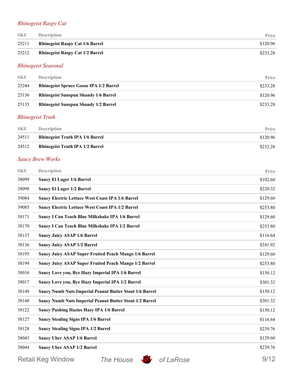#### *Rhinegeist Raspy Cat*

| <b>SKU</b> | <b>Description</b>                     | Price    |
|------------|----------------------------------------|----------|
| 25211      | <b>Rhinegeist Raspy Cat 1/6 Barrel</b> | \$120.96 |
| 25212      | <b>Rhinegeist Raspy Cat 1/2 Barrel</b> | \$233.28 |

#### *Rhinegeist Seasonal*

| <b>SKU</b> | <b>Description</b>                            | Price    |
|------------|-----------------------------------------------|----------|
| 25244      | <b>Rhinegeist Spruce Goose IPA 1/2 Barrel</b> | \$233.28 |
| 25136      | <b>Rhinegeist Sunspun Shandy 1/6 Barrel</b>   | \$120.96 |
| 25135      | <b>Rhinegeist Sunspun Shandy 1/2 Barrel</b>   | \$233.28 |

#### *Rhinegeist Truth*

| <b>SKU</b> | <b>Description</b>                     | Price    |
|------------|----------------------------------------|----------|
| 24511      | <b>Rhinegeist Truth IPA 1/6 Barrel</b> | \$120.96 |
| 24512      | <b>Rhinegeist Truth IPA 1/2 Barrel</b> | \$233.28 |

#### *Saucy Brew Works*

| <b>SKU</b> | <b>Description</b>                                             | Price    |
|------------|----------------------------------------------------------------|----------|
| 38099      | <b>Saucy El Lager 1/6 Barrel</b>                               | \$102.60 |
| 38098      | <b>Saucy El Lager 1/2 Barrel</b>                               | \$220.32 |
| 39084      | <b>Saucy Electric Lettuce West Coast IPA 1/6 Barrel</b>        | \$129.60 |
| 39085      | <b>Saucy Electric Lettuce West Coast IPA 1/2 Barrel</b>        | \$253.80 |
| 38171      | Saucy I Can Teach Blue Milkshake IPA 1/6 Barrel                | \$129.60 |
| 38170      | Saucy I Can Teach Blue Milkshake IPA 1/2 Barrel                | \$253.80 |
| 38137      | <b>Saucy Juicy ASAP 1/6 Barrel</b>                             | \$116.64 |
| 38136      | <b>Saucy Juicy ASAP 1/2 Barrel</b>                             | \$241.92 |
| 38195      | <b>Saucy Juicy ASAP Super Fruited Peach Mango 1/6 Barrel</b>   | \$129.60 |
| 38194      | <b>Saucy Juicy ASAP Super Fruited Peach Mango 1/2 Barrel</b>   | \$253.80 |
| 38016      | Saucy Love you, Bye Hazy Imperial IPA 1/6 Barrel               | \$150.12 |
| 38017      | Saucy Love you, Bye Hazy Imperial IPA 1/2 Barrel               | \$301.32 |
| 38149      | <b>Saucy Numb Nuts Imperial Peanut Butter Stout 1/6 Barrel</b> | \$150.12 |
| 38148      | <b>Saucy Numb Nuts Imperial Peanut Butter Stout 1/2 Barrel</b> | \$301.32 |
| 38122      | <b>Saucy Pushing Hazies Hazy IPA 1/6 Barrel</b>                | \$150.12 |
| 38127      | <b>Saucy Stealing Signs IPA 1/6 Barrel</b>                     | \$116.64 |
| 38128      | <b>Saucy Stealing Signs IPA 1/2 Barrel</b>                     | \$239.76 |
| 38043      | <b>Saucy Uber ASAP 1/6 Barrel</b>                              | \$129.60 |
| 38044      | <b>Saucy Uber ASAP 1/2 Barrel</b>                              | \$239.76 |
|            |                                                                |          |

Retail Keg Window *The House* **S** of LaRose 9/12



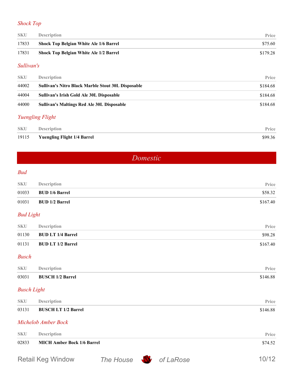#### *Shock Top*

| <b>SKU</b> | <b>Description</b>                            | <b>Price</b> |
|------------|-----------------------------------------------|--------------|
| 17833      | <b>Shock Top Belgian White Ale 1/6 Barrel</b> | \$75.60      |
| 17831      | <b>Shock Top Belgian White Ale 1/2 Barrel</b> | \$179.28     |

#### *Sullivan's*

| <b>SKU</b> | <b>Description</b>                                                                                                               | Price    |
|------------|----------------------------------------------------------------------------------------------------------------------------------|----------|
| 44002      | <b>Sullivan's Nitro Black Marble Stout 30L Disposable</b>                                                                        | \$184.68 |
| 44004      | Sullivan's Irish Gold Ale 30L Disposable                                                                                         | \$184.68 |
| 44000      | <b>Sullivan's Maltings Red Ale 30L Disposable</b>                                                                                | \$184.68 |
|            | $\mathbf{r}$ , and the second contract of the second contract of the second contract of the second second second to $\mathbf{r}$ |          |

#### *Yuengling Flight*

| <b>SKU</b> | <b>Description</b>                 | <b>Price</b> |
|------------|------------------------------------|--------------|
| 19115      | <b>Yuengling Flight 1/4 Barrel</b> | \$99.36      |

*Domestic*

#### <span id="page-9-0"></span>*Bud*

| <b>SKU</b>         | <b>Description</b>                | Price    |
|--------------------|-----------------------------------|----------|
| 01033              | <b>BUD 1/6 Barrel</b>             | \$58.32  |
| 01031              | <b>BUD 1/2 Barrel</b>             | \$167.40 |
| <b>Bud Light</b>   |                                   |          |
| <b>SKU</b>         | <b>Description</b>                | Price    |
| 01130              | <b>BUD LT 1/4 Barrel</b>          | \$98.28  |
| 01131              | <b>BUD LT 1/2 Barrel</b>          | \$167.40 |
| <b>Busch</b>       |                                   |          |
| <b>SKU</b>         | <b>Description</b>                | Price    |
| 03031              | <b>BUSCH 1/2 Barrel</b>           | \$146.88 |
| <b>Busch Light</b> |                                   |          |
| <b>SKU</b>         | <b>Description</b>                | Price    |
| 03131              | <b>BUSCH LT 1/2 Barrel</b>        | \$146.88 |
|                    | Michelob Amber Bock               |          |
| <b>SKU</b>         | Description                       | Price    |
| 02833              | <b>MICH Amber Bock 1/6 Barrel</b> | \$74.52  |
|                    |                                   |          |

Retail Keg Window *The House* **S** of LaRose 10/12

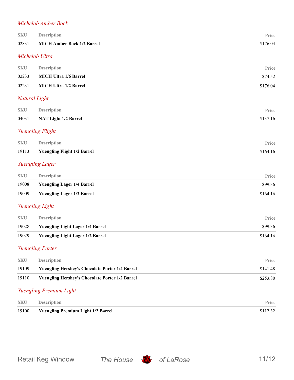#### *Michelob Amber Bock*

| <b>SKU</b> | Description                                            | Price    |
|------------|--------------------------------------------------------|----------|
| 02831      | <b>MICH Amber Bock 1/2 Barrel</b>                      | \$176.04 |
|            | Michelob Ultra                                         |          |
| <b>SKU</b> | Description                                            | Price    |
| 02233      | <b>MICH Ultra 1/6 Barrel</b>                           | \$74.52  |
| 02231      | <b>MICH Ultra 1/2 Barrel</b>                           | \$176.04 |
|            | Natural Light                                          |          |
| <b>SKU</b> | Description                                            | Price    |
| 04031      | <b>NAT Light 1/2 Barrel</b>                            | \$137.16 |
|            | <b>Yuengling Flight</b>                                |          |
| <b>SKU</b> | <b>Description</b>                                     | Price    |
| 19113      | <b>Yuengling Flight 1/2 Barrel</b>                     | \$164.16 |
|            | <b>Yuengling Lager</b>                                 |          |
| <b>SKU</b> | Description                                            | Price    |
| 19008      | <b>Yuengling Lager 1/4 Barrel</b>                      | \$99.36  |
| 19009      | <b>Yuengling Lager 1/2 Barrel</b>                      | \$164.16 |
|            | Yuengling Light                                        |          |
| <b>SKU</b> | Description                                            | Price    |
| 19028      | <b>Yuengling Light Lager 1/4 Barrel</b>                | \$99.36  |
| 19029      | <b>Yuengling Light Lager 1/2 Barrel</b>                | \$164.16 |
|            | <b>Yuengling Porter</b>                                |          |
| <b>SKU</b> | <b>Description</b>                                     | Price    |
| 19109      | <b>Yuengling Hershey's Chocolate Porter 1/4 Barrel</b> | \$141.48 |
| 19110      | <b>Yuengling Hershey's Chocolate Porter 1/2 Barrel</b> | \$253.80 |
|            | <b>Yuengling Premium Light</b>                         |          |
| <b>SKU</b> | Description                                            | Price    |

| 19100 | <b>Yuengling Premium Light 1/2 Barrel</b> | \$112.32 |
|-------|-------------------------------------------|----------|
| 5NU.  | Description                               | Price    |